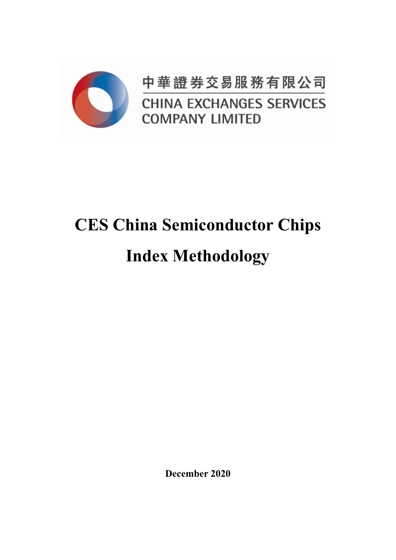

中華證券交易服務有限公司 **CHINA EXCHANGES SERVICES COMPANY LIMITED** 

# **CES China Semiconductor Chips Index Methodology**

**December 2020**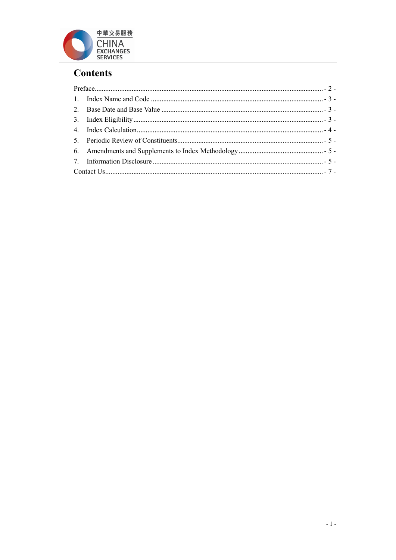

# **Contents**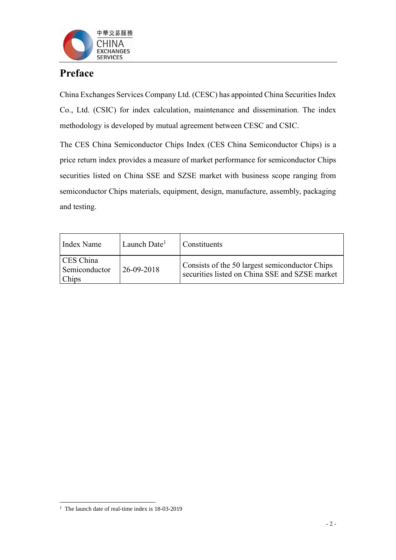

# <span id="page-2-0"></span>**Preface**

China Exchanges Services Company Ltd. (CESC) has appointed China Securities Index Co., Ltd. (CSIC) for index calculation, maintenance and dissemination. The index methodology is developed by mutual agreement between CESC and CSIC.

The CES China Semiconductor Chips Index (CES China Semiconductor Chips) is a price return index provides a measure of market performance for semiconductor Chips securities listed on China SSE and SZSE market with business scope ranging from semiconductor Chips materials, equipment, design, manufacture, assembly, packaging and testing.

| Index Name                                 | Launch Date <sup>1</sup> | <b>Constituents</b>                                                                              |
|--------------------------------------------|--------------------------|--------------------------------------------------------------------------------------------------|
| CES China<br>Semiconductor<br><b>Chips</b> | 26-09-2018               | Consists of the 50 largest semiconductor Chips<br>securities listed on China SSE and SZSE market |

<sup>&</sup>lt;sup>1</sup> The launch date of real-time index is 18-03-2019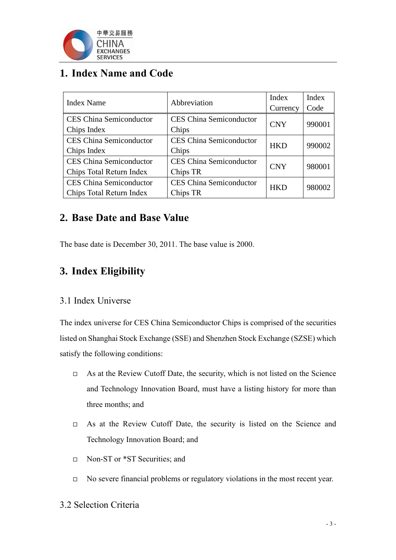

# <span id="page-3-0"></span>**1. Index Name and Code**

| <b>Index Name</b>                                          | Abbreviation                               | Index<br>Currency | Index<br>Code |
|------------------------------------------------------------|--------------------------------------------|-------------------|---------------|
| <b>CES China Semiconductor</b><br>Chips Index              | <b>CES China Semiconductor</b><br>Chips    | <b>CNY</b>        | 990001        |
| <b>CES China Semiconductor</b><br>Chips Index              | <b>CES China Semiconductor</b><br>Chips    | <b>HKD</b>        | 990002        |
| <b>CES China Semiconductor</b><br>Chips Total Return Index | <b>CES China Semiconductor</b><br>Chips TR | <b>CNY</b>        | 980001        |
| <b>CES China Semiconductor</b><br>Chips Total Return Index | <b>CES China Semiconductor</b><br>Chips TR | <b>HKD</b>        | 980002        |

## <span id="page-3-1"></span>**2. Base Date and Base Value**

The base date is December 30, 2011. The base value is 2000.

# <span id="page-3-2"></span>**3. Index Eligibility**

#### 3.1 Index Universe

The index universe for CES China Semiconductor Chips is comprised of the securities listed on Shanghai Stock Exchange (SSE) and Shenzhen Stock Exchange (SZSE) which satisfy the following conditions:

- $\Box$  As at the Review Cutoff Date, the security, which is not listed on the Science and Technology Innovation Board, must have a listing history for more than three months; and
- As at the Review Cutoff Date, the security is listed on the Science and Technology Innovation Board; and
- □ Non-ST or \*ST Securities; and
- $\Box$  No severe financial problems or regulatory violations in the most recent year.

#### 3.2 Selection Criteria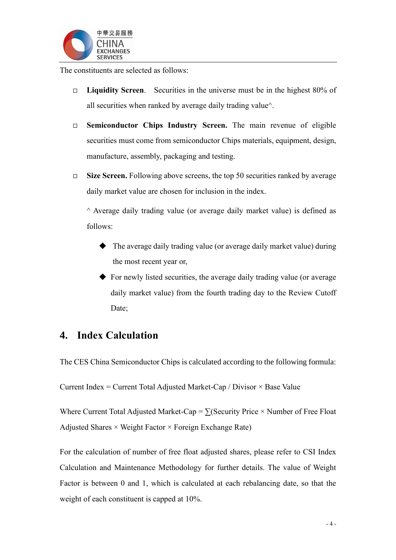

The constituents are selected as follows:

- **Liquidity Screen**. Securities in the universe must be in the highest 80% of all securities when ranked by average daily trading value^.
- **Semiconductor Chips Industry Screen.** The main revenue of eligible securities must come from semiconductor Chips materials, equipment, design, manufacture, assembly, packaging and testing.
- □ Size Screen. Following above screens, the top 50 securities ranked by average daily market value are chosen for inclusion in the index.

 $\land$  Average daily trading value (or average daily market value) is defined as follows:

- ◆ The average daily trading value (or average daily market value) during the most recent year or,
- ◆ For newly listed securities, the average daily trading value (or average daily market value) from the fourth trading day to the Review Cutoff Date;

## <span id="page-4-0"></span>**4. Index Calculation**

The CES China Semiconductor Chips is calculated according to the following formula:

Current Index = Current Total Adjusted Market-Cap / Divisor  $\times$  Base Value

Where Current Total Adjusted Market-Cap =  $\sum$ (Security Price × Number of Free Float Adjusted Shares  $\times$  Weight Factor  $\times$  Foreign Exchange Rate)

For the calculation of number of free float adjusted shares, please refer to CSI Index Calculation and Maintenance Methodology for further details. The value of Weight Factor is between 0 and 1, which is calculated at each rebalancing date, so that the weight of each constituent is capped at  $10\%$ .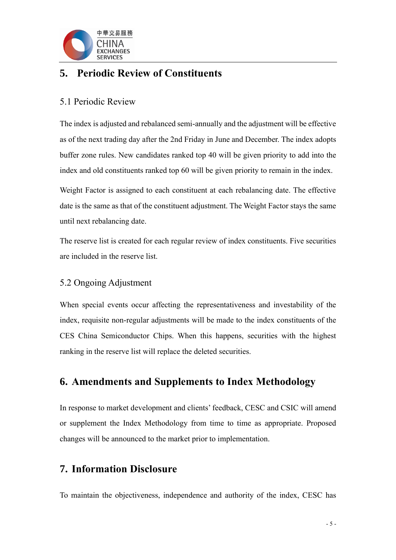

## <span id="page-5-0"></span>**5. Periodic Review of Constituents**

#### 5.1 Periodic Review

The index is adjusted and rebalanced semi-annually and the adjustment will be effective as of the next trading day after the 2nd Friday in June and December. The index adopts buffer zone rules. New candidates ranked top 40 will be given priority to add into the index and old constituents ranked top 60 will be given priority to remain in the index.

Weight Factor is assigned to each constituent at each rebalancing date. The effective date is the same as that of the constituent adjustment. The Weight Factor stays the same until next rebalancing date.

The reserve list is created for each regular review of index constituents. Five securities are included in the reserve list.

#### 5.2 Ongoing Adjustment

When special events occur affecting the representativeness and investability of the index, requisite non-regular adjustments will be made to the index constituents of the CES China Semiconductor Chips. When this happens, securities with the highest ranking in the reserve list will replace the deleted securities.

## <span id="page-5-1"></span>**6. Amendments and Supplements to Index Methodology**

In response to market development and clients' feedback, CESC and CSIC will amend or supplement the Index Methodology from time to time as appropriate. Proposed changes will be announced to the market prior to implementation.

### <span id="page-5-2"></span>**7. Information Disclosure**

To maintain the objectiveness, independence and authority of the index, CESC has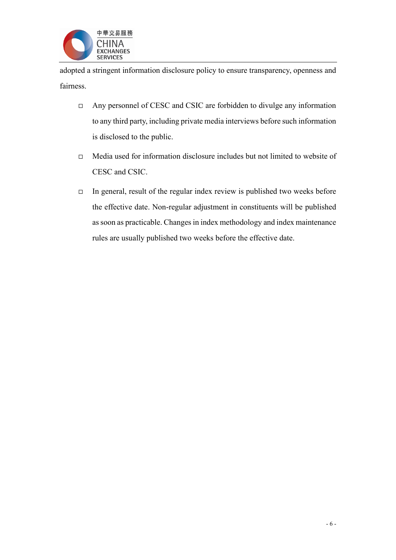

adopted a stringent information disclosure policy to ensure transparency, openness and fairness.

- □ Any personnel of CESC and CSIC are forbidden to divulge any information to any third party, including private media interviews before such information is disclosed to the public.
- $\Box$  Media used for information disclosure includes but not limited to website of CESC and CSIC.
- $\Box$  In general, result of the regular index review is published two weeks before the effective date. Non-regular adjustment in constituents will be published as soon as practicable. Changes in index methodology and index maintenance rules are usually published two weeks before the effective date.